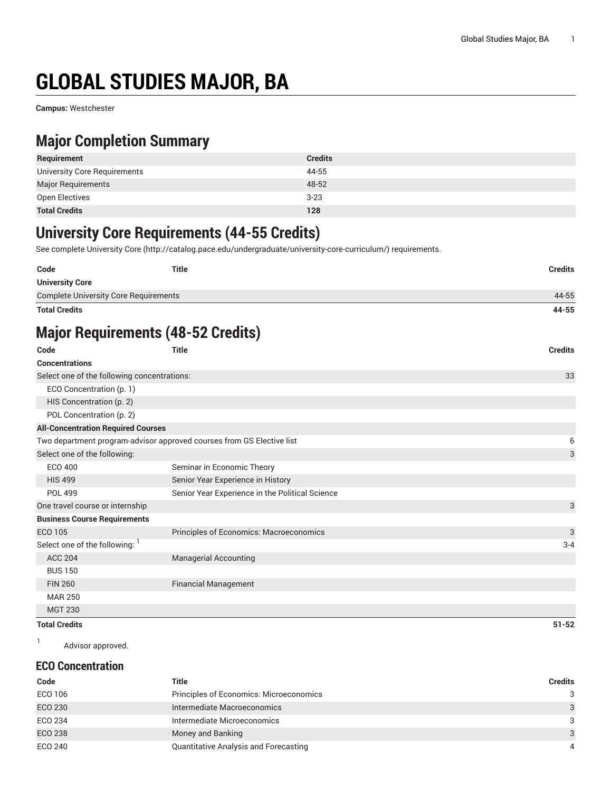# **GLOBAL STUDIES MAJOR, BA**

**Campus:** Westchester

### **Major Completion Summary**

| Requirement                  | <b>Credits</b> |
|------------------------------|----------------|
| University Core Requirements | 44-55          |
| <b>Major Requirements</b>    | 48-52          |
| Open Electives               | $3 - 23$       |
| <b>Total Credits</b>         | 128            |

### **University Core Requirements (44-55 Credits)**

See complete [University](http://catalog.pace.edu/undergraduate/university-core-curriculum/) Core (<http://catalog.pace.edu/undergraduate/university-core-curriculum/>) requirements.

| Code                                         | Title | <b>Credits</b> |
|----------------------------------------------|-------|----------------|
| <b>University Core</b>                       |       |                |
| <b>Complete University Core Requirements</b> |       | 44-55          |
| <b>Total Credits</b>                         |       | 44-55          |

## **Major Requirements (48-52 Credits)**

| Code                                                                  | <b>Title</b>                                    | <b>Credits</b> |
|-----------------------------------------------------------------------|-------------------------------------------------|----------------|
| <b>Concentrations</b>                                                 |                                                 |                |
| Select one of the following concentrations:                           |                                                 | 33             |
| ECO Concentration (p. 1)                                              |                                                 |                |
| HIS Concentration (p. 2)                                              |                                                 |                |
| POL Concentration (p. 2)                                              |                                                 |                |
| <b>All-Concentration Required Courses</b>                             |                                                 |                |
| Two department program-advisor approved courses from GS Elective list |                                                 | 6              |
| Select one of the following:                                          |                                                 | 3              |
| ECO 400                                                               | Seminar in Economic Theory                      |                |
| <b>HIS 499</b>                                                        | Senior Year Experience in History               |                |
| <b>POL 499</b>                                                        | Senior Year Experience in the Political Science |                |
| One travel course or internship                                       |                                                 | 3              |
| <b>Business Course Requirements</b>                                   |                                                 |                |
| ECO 105                                                               | Principles of Economics: Macroeconomics         | 3              |
| Select one of the following:                                          |                                                 | $3 - 4$        |
| <b>ACC 204</b>                                                        | <b>Managerial Accounting</b>                    |                |
| <b>BUS 150</b>                                                        |                                                 |                |
| <b>FIN 260</b>                                                        | <b>Financial Management</b>                     |                |
| <b>MAR 250</b>                                                        |                                                 |                |
| <b>MGT 230</b>                                                        |                                                 |                |

#### **Total Credits 51-52**

1 Advisor approved.

#### <span id="page-0-0"></span>**ECO Concentration**

| Code           | Title                                        | Credits       |
|----------------|----------------------------------------------|---------------|
| ECO 106        | Principles of Economics: Microeconomics      | 3             |
| <b>ECO 230</b> | Intermediate Macroeconomics                  | 3             |
| ECO 234        | Intermediate Microeconomics                  | 3             |
| <b>ECO 238</b> | Money and Banking                            | $\mathcal{A}$ |
| ECO 240        | <b>Quantitative Analysis and Forecasting</b> | 4             |